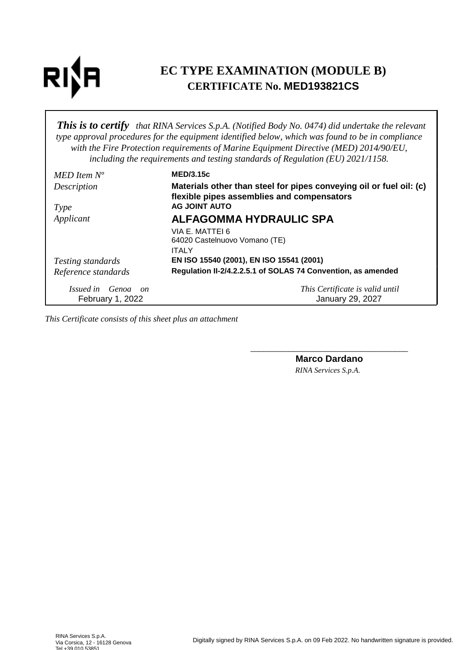# **RI**

# **EC TYPE EXAMINATION (MODULE B) CERTIFICATE No. MED193821CS**

*This is to certify that RINA Services S.p.A. (Notified Body No. 0474) did undertake the relevant type approval procedures for the equipment identified below, which was found to be in compliance with the Fire Protection requirements of Marine Equipment Directive (MED) 2014/90/EU, including the requirements and testing standards of Regulation (EU) 2021/1158.*

| $MED$ Item $N^o$         | <b>MED/3.15c</b>                                                                                                  |
|--------------------------|-------------------------------------------------------------------------------------------------------------------|
| Description              | Materials other than steel for pipes conveying oil or fuel oil: (c)<br>flexible pipes assemblies and compensators |
| <i>Type</i>              | <b>AG JOINT AUTO</b>                                                                                              |
| Applicant                | <b>ALFAGOMMA HYDRAULIC SPA</b>                                                                                    |
|                          | VIA E. MATTEI 6<br>64020 Castelnuovo Vomano (TE)                                                                  |
|                          | <b>ITALY</b>                                                                                                      |
| <i>Testing standards</i> | EN ISO 15540 (2001), EN ISO 15541 (2001)                                                                          |
| Reference standards      | Regulation II-2/4.2.2.5.1 of SOLAS 74 Convention, as amended                                                      |
| Issued in Genoa on       | This Certificate is valid until                                                                                   |
| February 1, 2022         | January 29, 2027                                                                                                  |

*This Certificate consists of this sheet plus an attachment*

\_\_\_\_\_\_\_\_\_\_\_\_\_\_\_\_\_\_\_\_\_\_\_\_\_\_\_\_\_\_\_\_\_\_\_\_\_ **Marco Dardano** *RINA Services S.p.A.*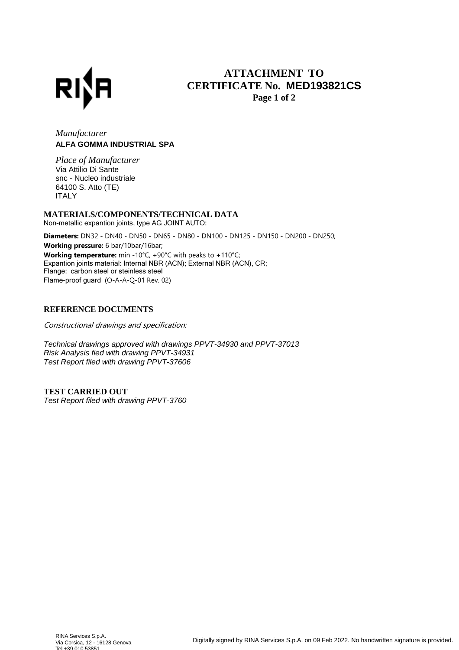

## **ATTACHMENT TO CERTIFICATE No. MED193821CS Page 1 of 2**

### *Manufacturer* **ALFA GOMMA INDUSTRIAL SPA**

*Place of Manufacturer* Via Attilio Di Sante snc - Nucleo industriale 64100 S. Atto (TE) ITALY

#### **MATERIALS/COMPONENTS/TECHNICAL DATA**

Non-metallic expantion joints, type AG JOINT AUTO:

Diameters: DN32 - DN40 - DN50 - DN65 - DN80 - DN100 - DN125 - DN150 - DN200 - DN250; Working pressure: 6 bar/10bar/16bar; Working temperature: min -10°C, +90°C with peaks to +110°C; Expantion joints material: Internal NBR (ACN); External NBR (ACN), CR; Flange: carbon steel or steinless steel Flame-proof guard (O-A-A-Q-01 Rev. 02)

#### **REFERENCE DOCUMENTS**

Constructional drawings and specification:

Technical drawings approved with drawings PPVT-34930 and PPVT-37013 Risk Analysis fied with drawing PPVT-34931 Test Report filed with drawing PPVT-37606

**TEST CARRIED OUT** Test Report filed with drawing PPVT-3760